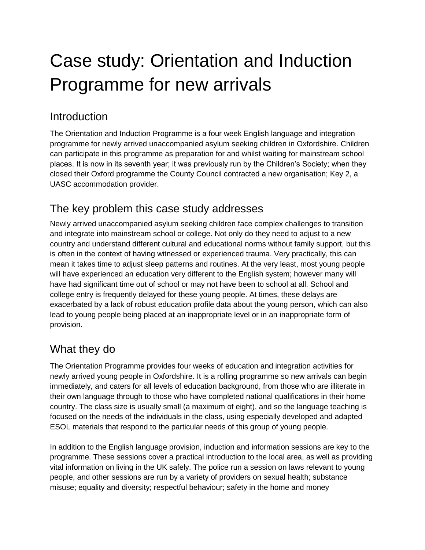# Case study: Orientation and Induction Programme for new arrivals

#### **Introduction**

The Orientation and Induction Programme is a four week English language and integration programme for newly arrived unaccompanied asylum seeking children in Oxfordshire. Children can participate in this programme as preparation for and whilst waiting for mainstream school places. It is now in its seventh year; it was previously run by the Children's Society; when they closed their Oxford programme the County Council contracted a new organisation; Key 2, a UASC accommodation provider.

## The key problem this case study addresses

Newly arrived unaccompanied asylum seeking children face complex challenges to transition and integrate into mainstream school or college. Not only do they need to adjust to a new country and understand different cultural and educational norms without family support, but this is often in the context of having witnessed or experienced trauma. Very practically, this can mean it takes time to adjust sleep patterns and routines. At the very least, most young people will have experienced an education very different to the English system; however many will have had significant time out of school or may not have been to school at all. School and college entry is frequently delayed for these young people. At times, these delays are exacerbated by a lack of robust education profile data about the young person, which can also lead to young people being placed at an inappropriate level or in an inappropriate form of provision.

## What they do

The Orientation Programme provides four weeks of education and integration activities for newly arrived young people in Oxfordshire. It is a rolling programme so new arrivals can begin immediately, and caters for all levels of education background, from those who are illiterate in their own language through to those who have completed national qualifications in their home country. The class size is usually small (a maximum of eight), and so the language teaching is focused on the needs of the individuals in the class, using especially developed and adapted ESOL materials that respond to the particular needs of this group of young people.

In addition to the English language provision, induction and information sessions are key to the programme. These sessions cover a practical introduction to the local area, as well as providing vital information on living in the UK safely. The police run a session on laws relevant to young people, and other sessions are run by a variety of providers on sexual health; substance misuse; equality and diversity; respectful behaviour; safety in the home and money